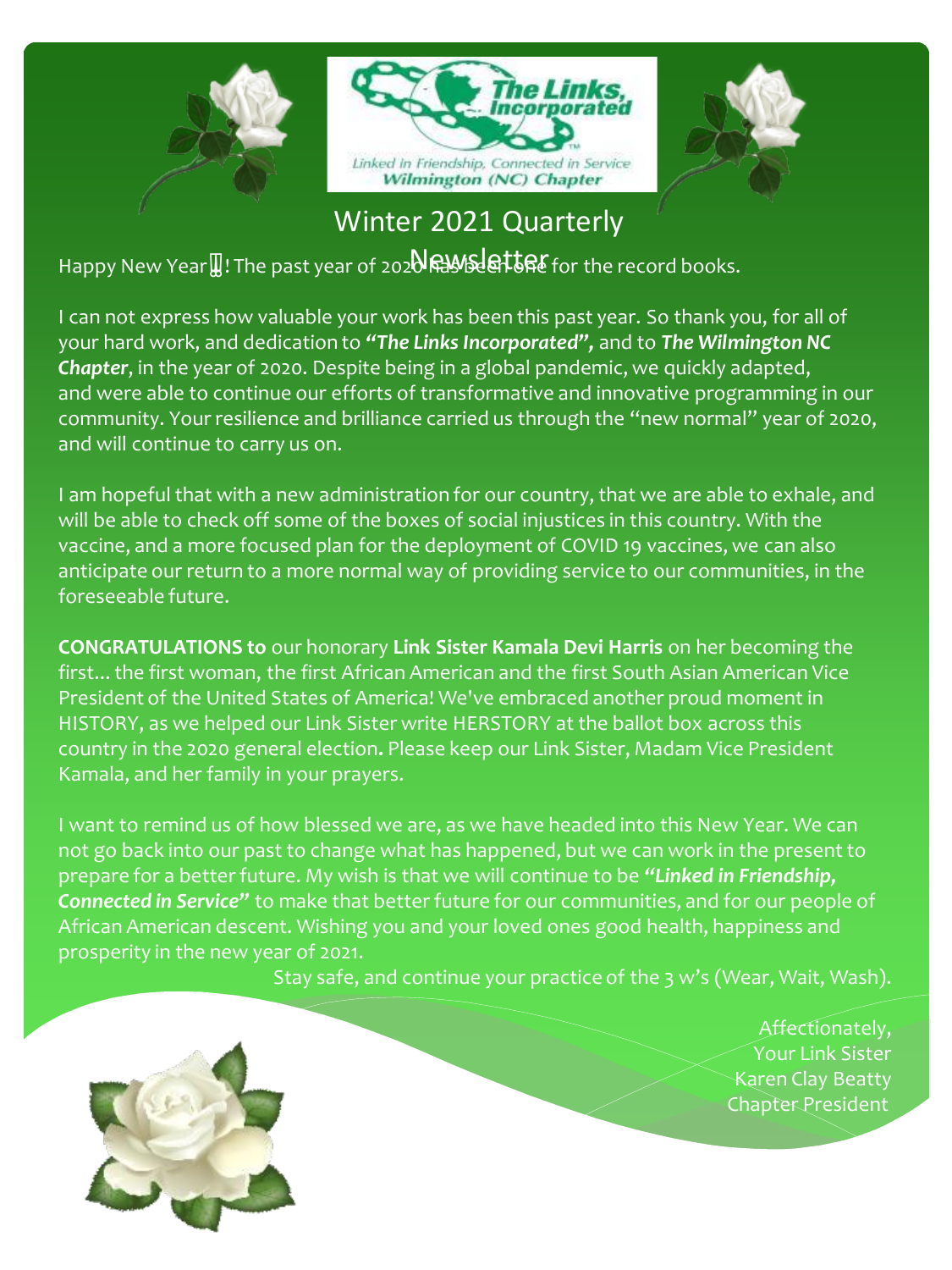

Winter 2021 Quarterly

Happy New Year !! The past year of 2020 **RAWS ST LEFT** for the record books.

I can not express how valuable your work has been this past year. So thank you, for all of your hard work, and dedication to *"The Links Incorporated",* and to *The Wilmington NC Chapter*, in the year of 2020. Despite being in a global pandemic, we quickly adapted, and were able to continue our efforts of transformative and innovative programming in our community. Your resilience and brilliance carried us through the "new normal" year of 2020, and will continue to carry us on.

I am hopeful that with a new administration for our country, that we are able to exhale, and will be able to check off some of the boxes of social injustices in this country. With the vaccine, and a more focused plan for the deployment of COVID 19 vaccines, we can also anticipate our return to a more normal way of providing service to our communities, in the foreseeable future.

**CONGRATULATIONS to** our honorary **Link Sister Kamala Devi Harris** on her becoming the first... the first woman, the first African American and the first South Asian American Vice President of the United States of America! We've embraced another proud moment in HISTORY, as we helped our Link Sister write HERSTORY at the ballot box across this country in the 2020 general election**.** Please keep our Link Sister, Madam Vice President Kamala, and her family in your prayers.

I want to remind us of how blessed we are, as we have headed into this New Year. We can not go back into our past to change what has happened, but we can work in the present to prepare for a better future. My wish is that we will continue to be *"Linked in Friendship, Connected in Service"* to make that better future for our communities, and for our people of African American descent. Wishing you and your loved ones good health, happiness and prosperity in the new year of 2021.

Stay safe, and continue your practice of the 3 w's (Wear, Wait, Wash).

Affectionately, Your Link Sister Karen Clay Beatty **Chapter President**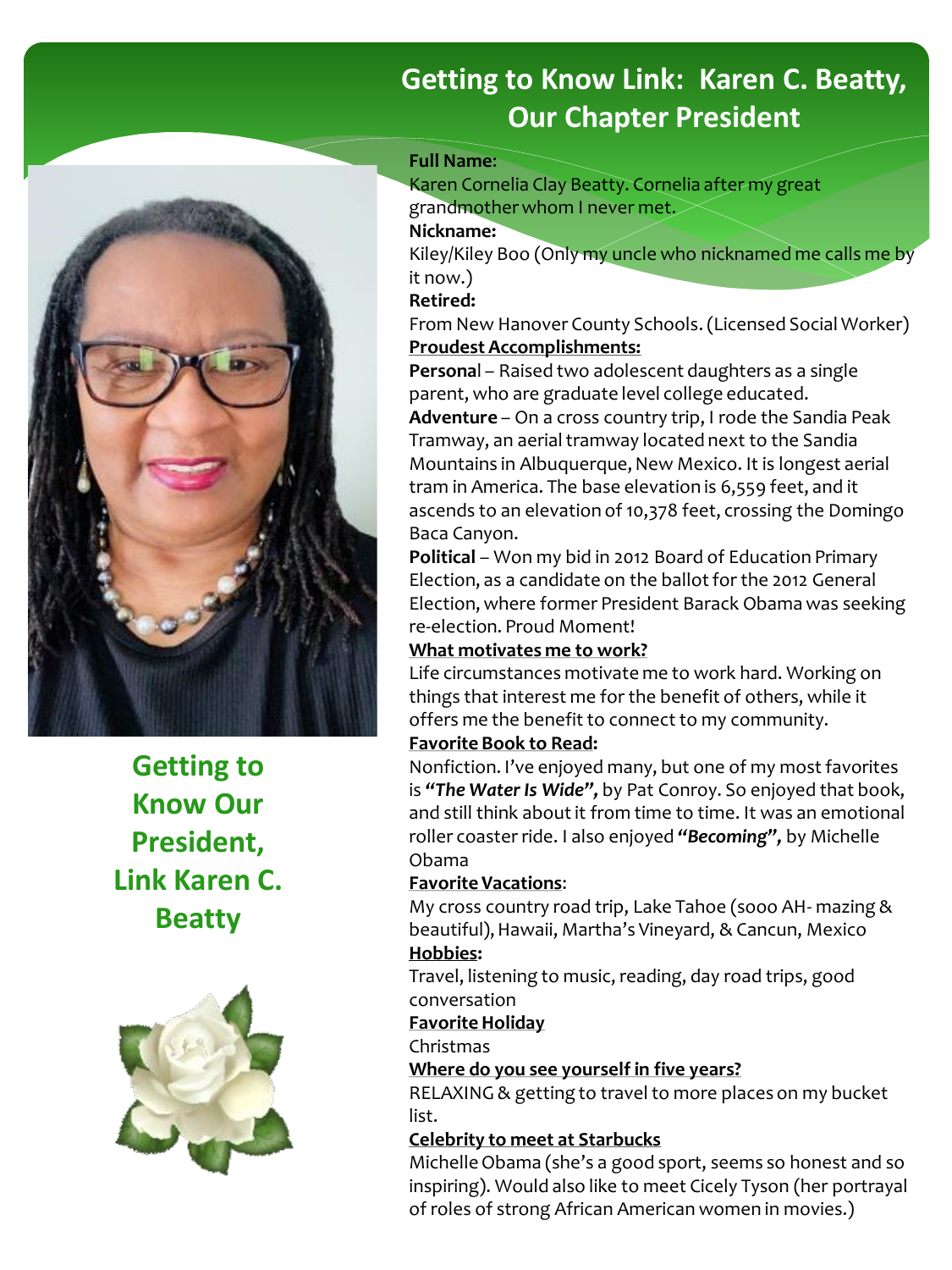## **Getting to Know Link: Karen C. Beatty, Our Chapter President**

#### **Full Name**:

Karen Cornelia Clay Beatty. Cornelia after my great grandmother whom I never met. **Nickname:**

Kiley/Kiley Boo (Only my uncle who nicknamed me calls me by it now.)

#### **Retired:**

From New Hanover County Schools. (Licensed Social Worker) **Proudest Accomplishments:**

**Persona**l – Raised two adolescent daughters as a single parent, who are graduate level college educated. **Adventure** – On a cross country trip, I rode the Sandia Peak

Tramway, an aerial tramway located next to the Sandia Mountains in Albuquerque, New Mexico. It is longest aerial tram in America. The base elevation is 6,559 feet, and it ascends to an elevation of 10,378 feet, crossing the Domingo Baca Canyon.

**Political** – Won my bid in 2012 Board of Education Primary Election, as a candidate on the ballot for the 2012 General Election, where former President Barack Obama was seeking re-election. Proud Moment!

#### **What motivates me to work?**

Life circumstances motivate me to work hard. Working on things that interest me for the benefit of others, while it offers me the benefit to connect to my community.

#### **Favorite Book to Read:**

Nonfiction. I've enjoyed many, but one of my most favorites is *"The Water Is Wide",* by Pat Conroy. So enjoyed that book, and still think about it from time to time. It was an emotional roller coaster ride. I also enjoyed *"Becoming",* by Michelle Obama

#### **Favorite Vacations**:

My cross country road trip, Lake Tahoe (sooo AH- mazing & beautiful), Hawaii, Martha's Vineyard, & Cancun, Mexico **Hobbies:**

Travel, listening to music, reading, day road trips, good conversation

#### **Favorite Holiday**

Christmas

**Where do you see yourself in five years?**

RELAXING & getting to travel to more places on my bucket list.

#### **Celebrity to meet at Starbucks**

Michelle Obama (she's a good sport, seems so honest and so inspiring). Would also like to meet Cicely Tyson (her portrayal of roles of strong African American women in movies.)



**Getting to Know Our President, Link Karen C. Beatty**

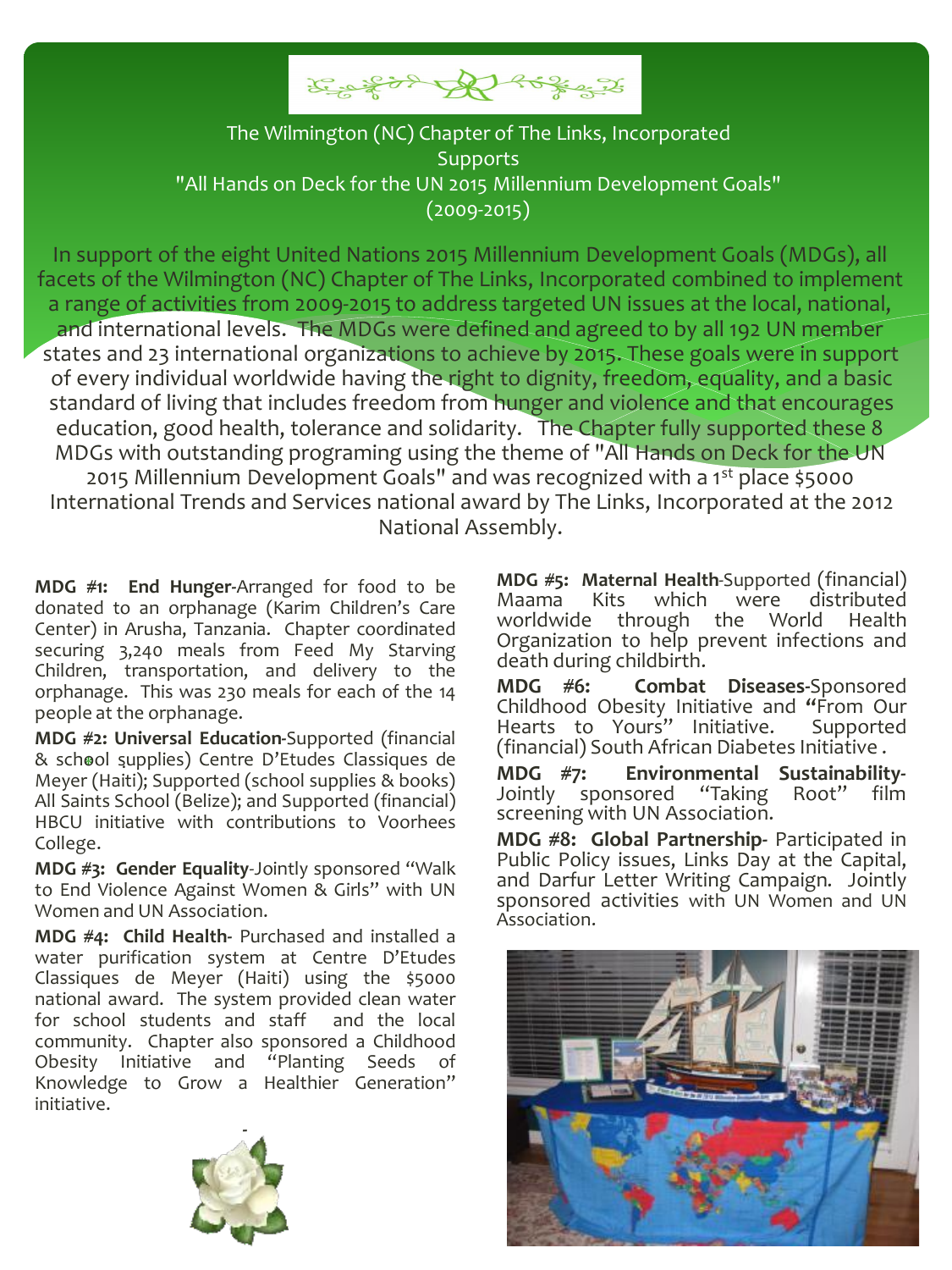

#### The Wilmington (NC) Chapter of The Links, Incorporated **Supports** "All Hands on Deck for the UN 2015 Millennium Development Goals" (2009-2015)

In support of the eight United Nations 2015 Millennium Development Goals (MDGs), all facets of the Wilmington (NC) Chapter of The Links, Incorporated combined to implement a range of activities from 2009-2015 to address targeted UN issues at the local, national, and international levels. The MDGs were defined and agreed to by all 192 UN member states and 23 international organizations to achieve by 2015. These goals were in support of every individual worldwide having the right to dignity, freedom, equality, and a basic standard of living that includes freedom from hunger and violence and that encourages education, good health, tolerance and solidarity. The Chapter fully supported these 8 MDGs with outstanding programing using the theme of "All Hands on Deck for the UN 2015 Millennium Development Goals" and was recognized with a 1st place \$5000 International Trends and Services national award by The Links, Incorporated at the 2012 National Assembly.

securing 3,240 meais from Feed My Starving<br>Children, transportation, and delivery to the orphanage. This was 230 meals for each of the 14 **MDG #1: End Hunger-**Arranged for food to be donated to an orphanage (Karim Children's Care Center) in Arusha, Tanzania. Chapter coordinated securing 3,240 meals from Feed My Starving people at the orphanage.

**Chapter Member MDG #2: Universal Education-**Supported (financial . & school supplies) Centre D'Etudes Classiques de Meyer (Haiti); Supported (school supplies & books) All Saints School (Belize); and Supported (financial) HBCU initiative with contributions to Voorhees College.

**MDG #3: Gender Equality**-Jointly sponsored "Walk to End Violence Against Women & Girls" with UN Women and UN Association.

**MDG #4: Child Health-** Purchased and installed a water purification system at Centre D'Etudes Classiques de Meyer (Haiti) using the \$5000 national award. The system provided clean water for school students and staff and the local community. Chapter also sponsored a Childhood Obesity Initiative and "Planting Seeds Knowledge to Grow a Healthier Generation" initiative.



Childhood Obesity Initiative and **"**From Our Hearts to Yours" Initiative. (financial) South African Diabetes Initiative .

**MDG #7: Environmental Sustainability-**Jointly sponsored "Taking Root" film screening with UN Association.

**MDG #8: Global Partnership-** Participated in Public Policy issues, Links Day at the Capital, and Darfur Letter Writing Campaign. Jointly sponsored activities with UN Women and UN Association.



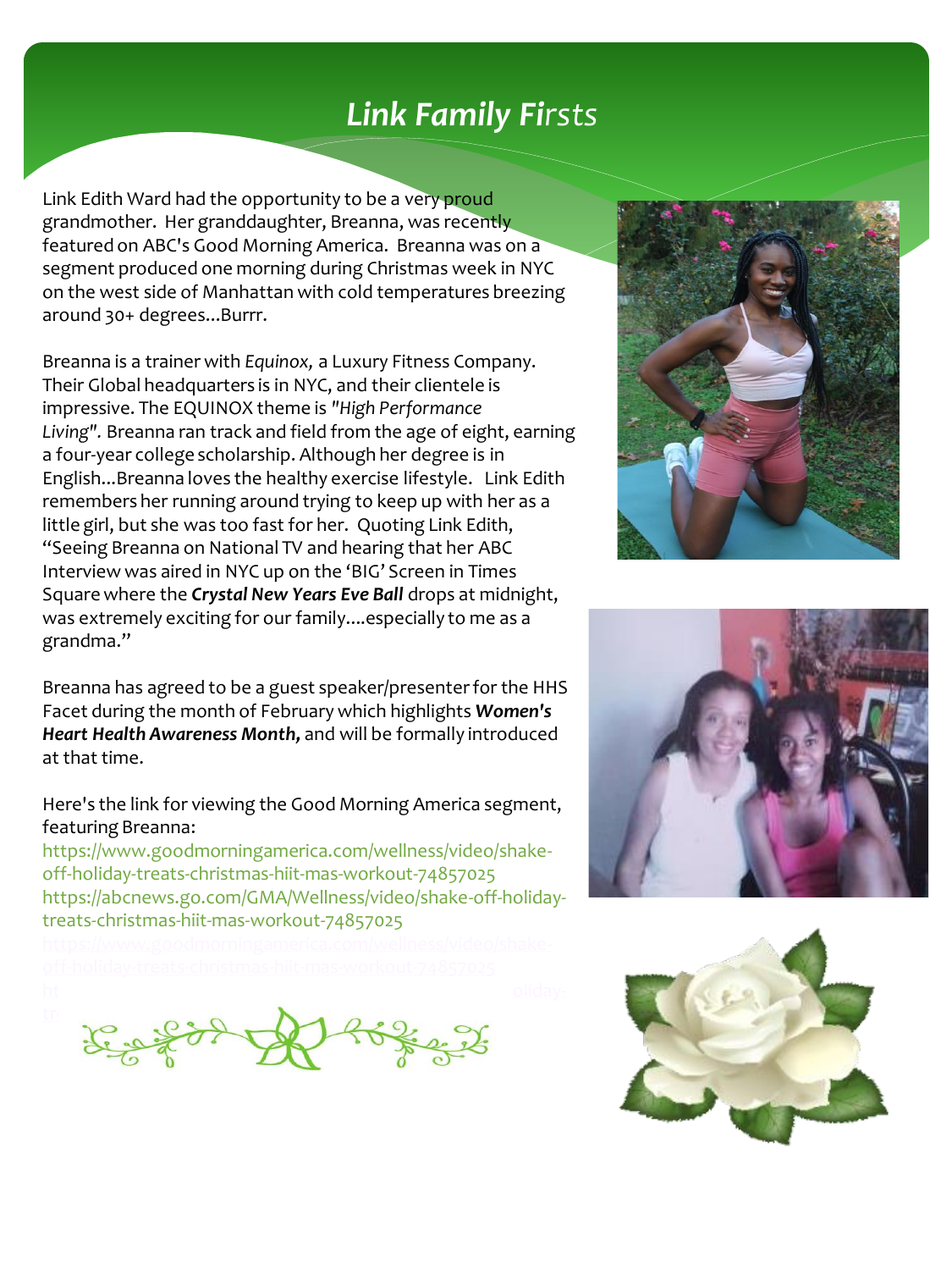# *Link Family Firsts*

Link Edith Ward had the opportunity to be a very proud grandmother. Her granddaughter, Breanna, was recently featured on ABC's Good Morning America. Breanna was on a segment produced one morning during Christmas week in NYC on the west side of Manhattan with cold temperatures breezing around 30+ degrees...Burrr.

Breanna is a trainer with *Equinox,* a Luxury Fitness Company. Their Global headquarters is in NYC, and their clientele is impressive. The EQUINOX theme is *"High Performance Living".* Breanna ran track and field from the age of eight, earning a four-year college scholarship. Although her degree is in English...Breanna loves the healthy exercise lifestyle. Link Edith remembers her running around trying to keep up with her as a little girl, but she was too fast for her. Quoting Link Edith, "Seeing Breanna on National TV and hearing that her ABC Interview was aired in NYC up on the 'BIG' Screen in Times Square where the *Crystal New Years Eve Ball* drops at midnight, was extremely exciting for our family....especially to me as a grandma."

Breanna has agreed to be a guest speaker/presenter for the HHS Facet during the month of February which highlights *Women's Heart Health Awareness Month,* and will be formally introduced at that time.

Here's the link for viewing the Good Morning America segment, featuring Breanna:

https://www.goodmorningamerica.com/wellness/video/shakeoff-holiday-treats-christmas-hiit-mas-workout-74857025 https://abcnews.go.com/GMA/Wellness/video/shake-off-holidaytreats-christmas-hiit-mas-workout-74857025

 $t_{\text{max}}$   $\alpha_{\text{max}}$   $\Delta_{\text{max}}$